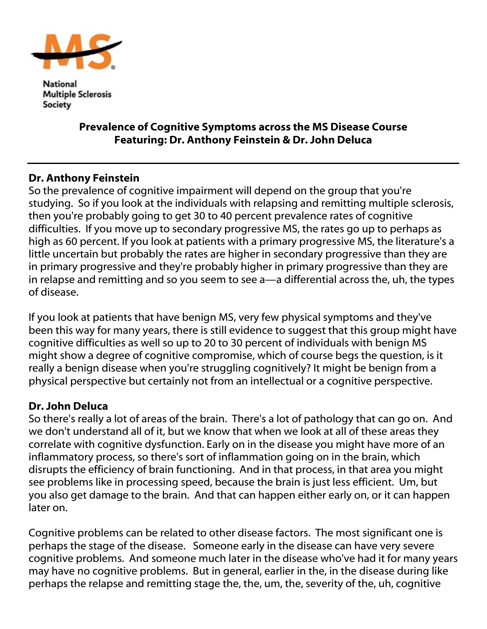

National **Multiple Sclerosis** Society

## Prevalence of Cognitive Symptoms across the MS Disease Course Featuring: Dr. Anthony Feinstein & Dr. John Deluca

## Dr. Anthony Feinstein

So the prevalence of cognitive impairment will depend on the group that you're studying. So if you look at the individuals with relapsing and remitting multiple sclerosis, then you're probably going to get 30 to 40 percent prevalence rates of cognitive difficulties. If you move up to secondary progressive MS, the rates go up to perhaps as high as 60 percent. If you look at patients with a primary progressive MS, the literature's a little uncertain but probably the rates are higher in secondary progressive than they are in primary progressive and they're probably higher in primary progressive than they are in relapse and remitting and so you seem to see a—a differential across the, uh, the types of disease.

If you look at patients that have benign MS, very few physical symptoms and they've been this way for many years, there is still evidence to suggest that this group might have cognitive difficulties as well so up to 20 to 30 percent of individuals with benign MS might show a degree of cognitive compromise, which of course begs the question, is it really a benign disease when you're struggling cognitively? It might be benign from a physical perspective but certainly not from an intellectual or a cognitive perspective.

## Dr. John Deluca

So there's really a lot of areas of the brain. There's a lot of pathology that can go on. And we don't understand all of it, but we know that when we look at all of these areas they correlate with cognitive dysfunction. Early on in the disease you might have more of an inflammatory process, so there's sort of inflammation going on in the brain, which disrupts the efficiency of brain functioning. And in that process, in that area you might see problems like in processing speed, because the brain is just less efficient. Um, but you also get damage to the brain. And that can happen either early on, or it can happen later on.

Cognitive problems can be related to other disease factors. The most significant one is perhaps the stage of the disease. Someone early in the disease can have very severe cognitive problems. And someone much later in the disease who've had it for many years may have no cognitive problems. But in general, earlier in the, in the disease during like perhaps the relapse and remitting stage the, the, um, the, severity of the, uh, cognitive